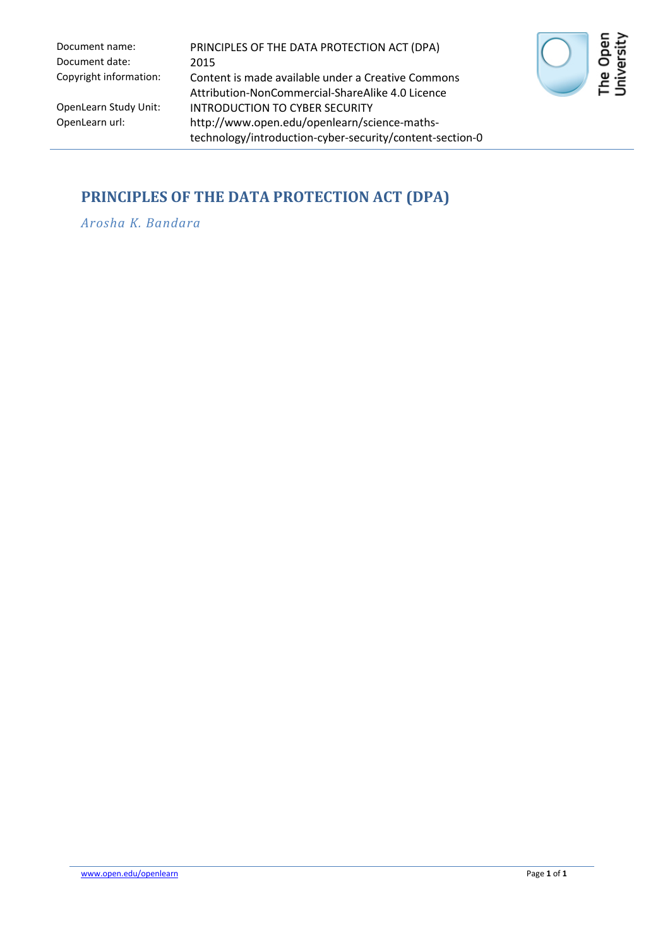Document date: 2015

Document name: PRINCIPLES OF THE DATA PROTECTION ACT (DPA) Copyright information: Content is made available under a Creative Commons Attribution-NonCommercial-ShareAlike 4.0 Licence OpenLearn Study Unit: INTRODUCTION TO CYBER SECURITY<br>OpenLearn url: http://www.open.edu/openlearn/sci http://www.open.edu/openlearn/science-mathstechnology/introduction-cyber-security/content-section-0



## **PRINCIPLES OF THE DATA PROTECTION ACT (DPA)**

*Arosha K. Bandara*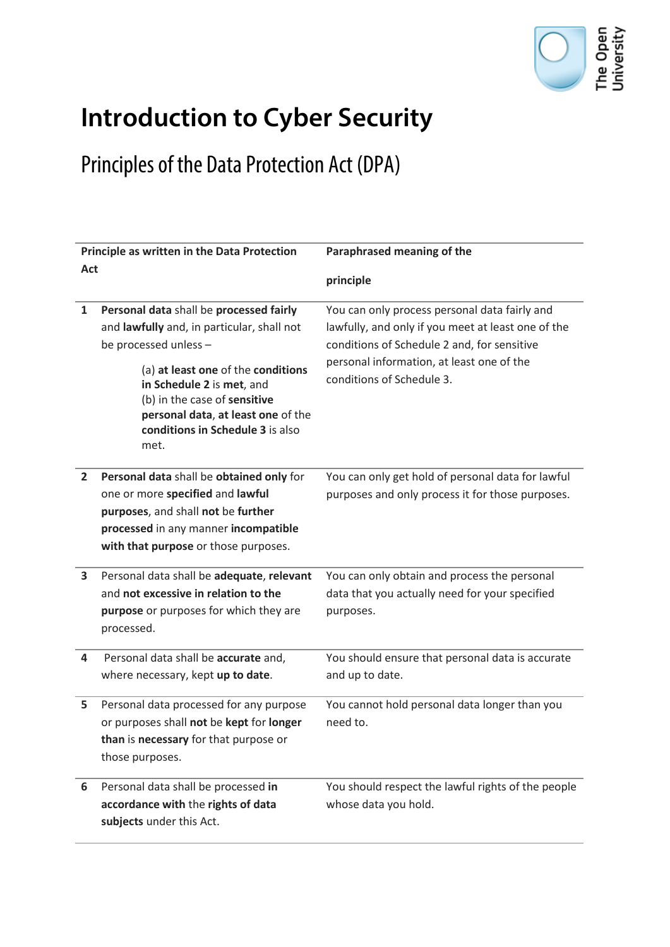

## **Introduction to Cyber Security**

## Principles of the Data Protection Act (DPA)

| Principle as written in the Data Protection |                                                                                                                                                                                                                                                                                                     | Paraphrased meaning of the                                                                                                                                                                                                   |
|---------------------------------------------|-----------------------------------------------------------------------------------------------------------------------------------------------------------------------------------------------------------------------------------------------------------------------------------------------------|------------------------------------------------------------------------------------------------------------------------------------------------------------------------------------------------------------------------------|
| Act                                         |                                                                                                                                                                                                                                                                                                     | principle                                                                                                                                                                                                                    |
| 1                                           | Personal data shall be processed fairly<br>and lawfully and, in particular, shall not<br>be processed unless -<br>(a) at least one of the conditions<br>in Schedule 2 is met, and<br>(b) in the case of sensitive<br>personal data, at least one of the<br>conditions in Schedule 3 is also<br>met. | You can only process personal data fairly and<br>lawfully, and only if you meet at least one of the<br>conditions of Schedule 2 and, for sensitive<br>personal information, at least one of the<br>conditions of Schedule 3. |
| $\mathbf{2}$                                | Personal data shall be obtained only for<br>one or more specified and lawful<br>purposes, and shall not be further<br>processed in any manner incompatible<br>with that purpose or those purposes.                                                                                                  | You can only get hold of personal data for lawful<br>purposes and only process it for those purposes.                                                                                                                        |
| 3                                           | Personal data shall be adequate, relevant<br>and not excessive in relation to the<br>purpose or purposes for which they are<br>processed.                                                                                                                                                           | You can only obtain and process the personal<br>data that you actually need for your specified<br>purposes.                                                                                                                  |
| 4                                           | Personal data shall be accurate and,<br>where necessary, kept up to date.                                                                                                                                                                                                                           | You should ensure that personal data is accurate<br>and up to date.                                                                                                                                                          |
| 5                                           | Personal data processed for any purpose<br>or purposes shall not be kept for longer<br>than is necessary for that purpose or<br>those purposes.                                                                                                                                                     | You cannot hold personal data longer than you<br>need to.                                                                                                                                                                    |
| 6                                           | Personal data shall be processed in<br>accordance with the rights of data<br>subjects under this Act.                                                                                                                                                                                               | You should respect the lawful rights of the people<br>whose data you hold.                                                                                                                                                   |